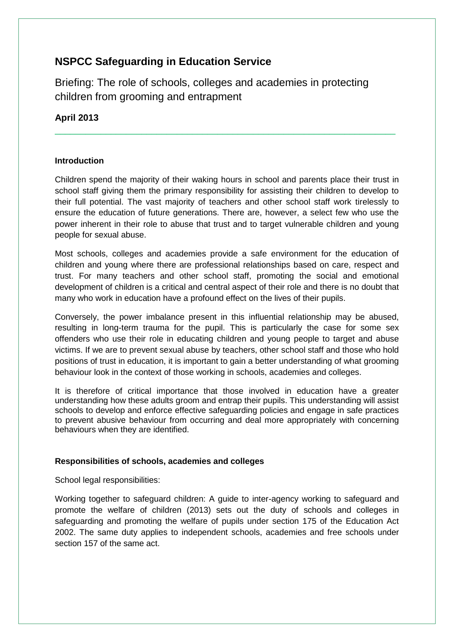# **NSPCC Safeguarding in Education Service**

Briefing: The role of schools, colleges and academies in protecting children from grooming and entrapment

# **April 2013**

# **Introduction**

Children spend the majority of their waking hours in school and parents place their trust in school staff giving them the primary responsibility for assisting their children to develop to their full potential. The vast majority of teachers and other school staff work tirelessly to ensure the education of future generations. There are, however, a select few who use the power inherent in their role to abuse that trust and to target vulnerable children and young people for sexual abuse.

\_\_\_\_\_\_\_\_\_\_\_\_\_\_\_\_\_\_\_\_\_\_\_\_\_\_\_\_\_\_\_\_\_\_\_\_\_\_\_\_\_\_\_\_\_\_\_\_\_\_\_\_\_\_\_\_\_\_\_\_\_\_\_\_\_\_\_

Most schools, colleges and academies provide a safe environment for the education of children and young where there are professional relationships based on care, respect and trust. For many teachers and other school staff, promoting the social and emotional development of children is a critical and central aspect of their role and there is no doubt that many who work in education have a profound effect on the lives of their pupils.

Conversely, the power imbalance present in this influential relationship may be abused, resulting in long-term trauma for the pupil. This is particularly the case for some sex offenders who use their role in educating children and young people to target and abuse victims. If we are to prevent sexual abuse by teachers, other school staff and those who hold positions of trust in education, it is important to gain a better understanding of what grooming behaviour look in the context of those working in schools, academies and colleges.

It is therefore of critical importance that those involved in education have a greater understanding how these adults groom and entrap their pupils. This understanding will assist schools to develop and enforce effective safeguarding policies and engage in safe practices to prevent abusive behaviour from occurring and deal more appropriately with concerning behaviours when they are identified.

# **Responsibilities of schools, academies and colleges**

School legal responsibilities:

Working together to safeguard children: A guide to inter-agency working to safeguard and promote the welfare of children (2013) sets out the duty of schools and colleges in safeguarding and promoting the welfare of pupils under section 175 of the Education Act 2002. The same duty applies to independent schools, academies and free schools under section 157 of the same act.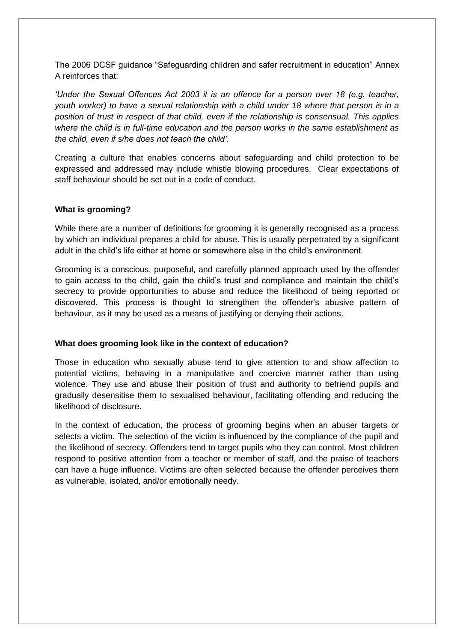The 2006 DCSF guidance "Safeguarding children and safer recruitment in education" Annex A reinforces that:

*"Under the Sexual Offences Act 2003 it is an offence for a person over 18 (e.g. teacher, youth worker) to have a sexual relationship with a child under 18 where that person is in a position of trust in respect of that child, even if the relationship is consensual. This applies where the child is in full-time education and the person works in the same establishment as the child, even if s/he does not teach the child".*

Creating a culture that enables concerns about safeguarding and child protection to be expressed and addressed may include whistle blowing procedures. Clear expectations of staff behaviour should be set out in a code of conduct.

#### **What is grooming?**

While there are a number of definitions for grooming it is generally recognised as a process by which an individual prepares a child for abuse. This is usually perpetrated by a significant adult in the child"s life either at home or somewhere else in the child"s environment.

Grooming is a conscious, purposeful, and carefully planned approach used by the offender to gain access to the child, gain the child"s trust and compliance and maintain the child"s secrecy to provide opportunities to abuse and reduce the likelihood of being reported or discovered. This process is thought to strengthen the offender"s abusive pattern of behaviour, as it may be used as a means of justifying or denying their actions.

#### **What does grooming look like in the context of education?**

Those in education who sexually abuse tend to give attention to and show affection to potential victims, behaving in a manipulative and coercive manner rather than using violence. They use and abuse their position of trust and authority to befriend pupils and gradually desensitise them to sexualised behaviour, facilitating offending and reducing the likelihood of disclosure.

In the context of education, the process of grooming begins when an abuser targets or selects a victim. The selection of the victim is influenced by the compliance of the pupil and the likelihood of secrecy. Offenders tend to target pupils who they can control. Most children respond to positive attention from a teacher or member of staff, and the praise of teachers can have a huge influence. Victims are often selected because the offender perceives them as vulnerable, isolated, and/or emotionally needy.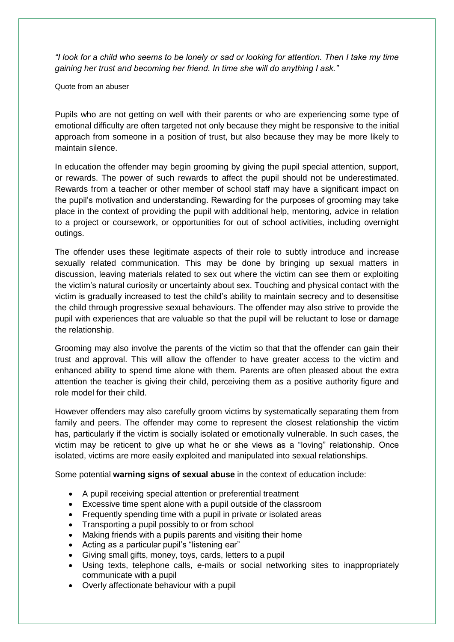*"I look for a child who seems to be lonely or sad or looking for attention. Then I take my time gaining her trust and becoming her friend. In time she will do anything I ask."* 

Quote from an abuser

Pupils who are not getting on well with their parents or who are experiencing some type of emotional difficulty are often targeted not only because they might be responsive to the initial approach from someone in a position of trust, but also because they may be more likely to maintain silence.

In education the offender may begin grooming by giving the pupil special attention, support, or rewards. The power of such rewards to affect the pupil should not be underestimated. Rewards from a teacher or other member of school staff may have a significant impact on the pupil"s motivation and understanding. Rewarding for the purposes of grooming may take place in the context of providing the pupil with additional help, mentoring, advice in relation to a project or coursework, or opportunities for out of school activities, including overnight outings.

The offender uses these legitimate aspects of their role to subtly introduce and increase sexually related communication. This may be done by bringing up sexual matters in discussion, leaving materials related to sex out where the victim can see them or exploiting the victim"s natural curiosity or uncertainty about sex. Touching and physical contact with the victim is gradually increased to test the child"s ability to maintain secrecy and to desensitise the child through progressive sexual behaviours. The offender may also strive to provide the pupil with experiences that are valuable so that the pupil will be reluctant to lose or damage the relationship.

Grooming may also involve the parents of the victim so that that the offender can gain their trust and approval. This will allow the offender to have greater access to the victim and enhanced ability to spend time alone with them. Parents are often pleased about the extra attention the teacher is giving their child, perceiving them as a positive authority figure and role model for their child.

However offenders may also carefully groom victims by systematically separating them from family and peers. The offender may come to represent the closest relationship the victim has, particularly if the victim is socially isolated or emotionally vulnerable. In such cases, the victim may be reticent to give up what he or she views as a "loving" relationship. Once isolated, victims are more easily exploited and manipulated into sexual relationships.

Some potential **warning signs of sexual abuse** in the context of education include:

- A pupil receiving special attention or preferential treatment
- Excessive time spent alone with a pupil outside of the classroom
- Frequently spending time with a pupil in private or isolated areas
- Transporting a pupil possibly to or from school
- Making friends with a pupils parents and visiting their home
- Acting as a particular pupil's "listening ear"
- Giving small gifts, money, toys, cards, letters to a pupil
- Using texts, telephone calls, e-mails or social networking sites to inappropriately communicate with a pupil
- Overly affectionate behaviour with a pupil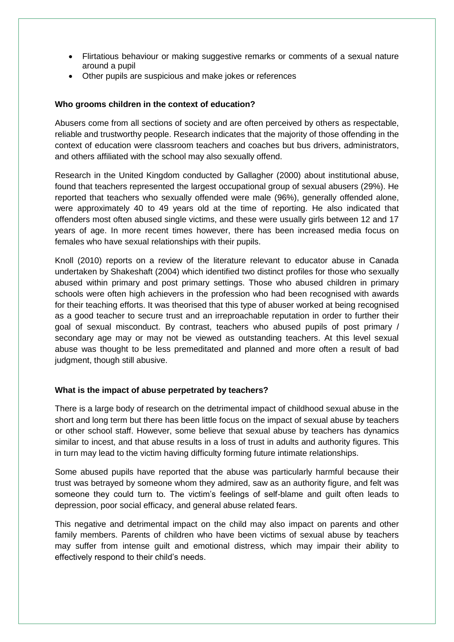- Flirtatious behaviour or making suggestive remarks or comments of a sexual nature around a pupil
- Other pupils are suspicious and make jokes or references

## **Who grooms children in the context of education?**

Abusers come from all sections of society and are often perceived by others as respectable, reliable and trustworthy people. Research indicates that the majority of those offending in the context of education were classroom teachers and coaches but bus drivers, administrators, and others affiliated with the school may also sexually offend.

Research in the United Kingdom conducted by Gallagher (2000) about institutional abuse, found that teachers represented the largest occupational group of sexual abusers (29%). He reported that teachers who sexually offended were male (96%), generally offended alone, were approximately 40 to 49 years old at the time of reporting. He also indicated that offenders most often abused single victims, and these were usually girls between 12 and 17 years of age. In more recent times however, there has been increased media focus on females who have sexual relationships with their pupils.

Knoll (2010) reports on a review of the literature relevant to educator abuse in Canada undertaken by Shakeshaft (2004) which identified two distinct profiles for those who sexually abused within primary and post primary settings. Those who abused children in primary schools were often high achievers in the profession who had been recognised with awards for their teaching efforts. It was theorised that this type of abuser worked at being recognised as a good teacher to secure trust and an irreproachable reputation in order to further their goal of sexual misconduct. By contrast, teachers who abused pupils of post primary / secondary age may or may not be viewed as outstanding teachers. At this level sexual abuse was thought to be less premeditated and planned and more often a result of bad judgment, though still abusive.

#### **What is the impact of abuse perpetrated by teachers?**

There is a large body of research on the detrimental impact of childhood sexual abuse in the short and long term but there has been little focus on the impact of sexual abuse by teachers or other school staff. However, some believe that sexual abuse by teachers has dynamics similar to incest, and that abuse results in a loss of trust in adults and authority figures. This in turn may lead to the victim having difficulty forming future intimate relationships.

Some abused pupils have reported that the abuse was particularly harmful because their trust was betrayed by someone whom they admired, saw as an authority figure, and felt was someone they could turn to. The victim's feelings of self-blame and quilt often leads to depression, poor social efficacy, and general abuse related fears.

This negative and detrimental impact on the child may also impact on parents and other family members. Parents of children who have been victims of sexual abuse by teachers may suffer from intense guilt and emotional distress, which may impair their ability to effectively respond to their child"s needs.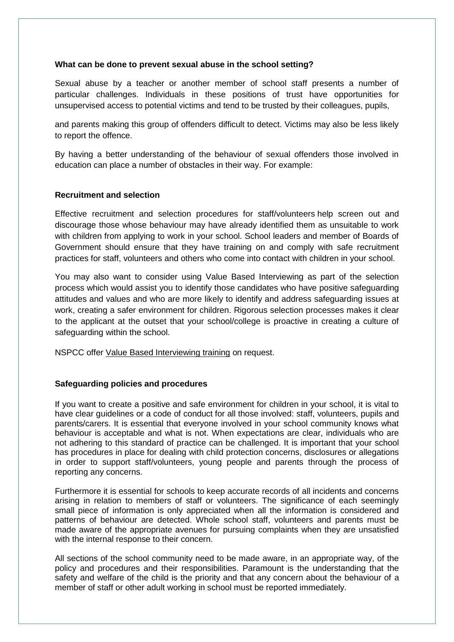#### **What can be done to prevent sexual abuse in the school setting?**

Sexual abuse by a teacher or another member of school staff presents a number of particular challenges. Individuals in these positions of trust have opportunities for unsupervised access to potential victims and tend to be trusted by their colleagues, pupils,

and parents making this group of offenders difficult to detect. Victims may also be less likely to report the offence.

By having a better understanding of the behaviour of sexual offenders those involved in education can place a number of obstacles in their way. For example:

#### **Recruitment and selection**

Effective recruitment and selection procedures for staff/volunteers help screen out and discourage those whose behaviour may have already identified them as unsuitable to work with children from applying to work in your school. School leaders and member of Boards of Government should ensure that they have training on and comply with safe recruitment practices for staff, volunteers and others who come into contact with children in your school.

You may also want to consider using Value Based Interviewing as part of the selection process which would assist you to identify those candidates who have positive safeguarding attitudes and values and who are more likely to identify and address safeguarding issues at work, creating a safer environment for children. Rigorous selection processes makes it clear to the applicant at the outset that your school/college is proactive in creating a culture of safeguarding within the school.

NSPCC offer [Value Based Interviewing training](http://www.nspcc.org.uk/Inform/trainingandconsultancy/training/trainingcourses/ValueBasedInterviewing_wda64236.html) on request.

# **Safeguarding policies and procedures**

If you want to create a positive and safe environment for children in your school, it is vital to have clear guidelines or a code of conduct for all those involved: staff, volunteers, pupils and parents/carers. It is essential that everyone involved in your school community knows what behaviour is acceptable and what is not. When expectations are clear, individuals who are not adhering to this standard of practice can be challenged. It is important that your school has procedures in place for dealing with child protection concerns, disclosures or allegations in order to support staff/volunteers, young people and parents through the process of reporting any concerns.

Furthermore it is essential for schools to keep accurate records of all incidents and concerns arising in relation to members of staff or volunteers. The significance of each seemingly small piece of information is only appreciated when all the information is considered and patterns of behaviour are detected. Whole school staff, volunteers and parents must be made aware of the appropriate avenues for pursuing complaints when they are unsatisfied with the internal response to their concern.

All sections of the school community need to be made aware, in an appropriate way, of the policy and procedures and their responsibilities. Paramount is the understanding that the safety and welfare of the child is the priority and that any concern about the behaviour of a member of staff or other adult working in school must be reported immediately.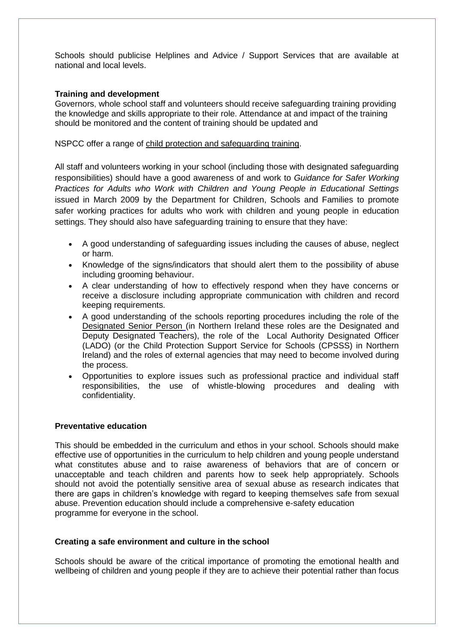Schools should publicise Helplines and Advice / Support Services that are available at national and local levels.

#### **Training and development**

Governors, whole school staff and volunteers should receive safeguarding training providing the knowledge and skills appropriate to their role. Attendance at and impact of the training should be monitored and the content of training should be updated and

NSPCC offer a range of [child protection and safeguarding training.](http://www.nspcc.org.uk/Inform/trainingandconsultancy/training/training_wda47917.html)

All staff and volunteers working in your school (including those with designated safeguarding responsibilities) should have a good awareness of and work to *Guidance for Safer Working Practices for Adults who Work with Children and Young People in Educational Settings* issued in March 2009 by the Department for Children, Schools and Families to promote safer working practices for adults who work with children and young people in education settings. They should also have safeguarding training to ensure that they have:

- A good understanding of safeguarding issues including the causes of abuse, neglect or harm.
- Knowledge of the signs/indicators that should alert them to the possibility of abuse including grooming behaviour.
- A clear understanding of how to effectively respond when they have concerns or receive a disclosure including appropriate communication with children and record keeping requirements.
- A good understanding of the schools reporting procedures including the role of the [Designated Senior Person](http://www.nspcc.org.uk/Inform/resourcesforteachers/designated-sr-person/designated-safeguarding-person_wda86590.html) (in Northern Ireland these roles are the Designated and Deputy Designated Teachers), the role of the Local Authority Designated Officer (LADO) (or the Child Protection Support Service for Schools (CPSSS) in Northern Ireland) and the roles of external agencies that may need to become involved during the process.
- Opportunities to explore issues such as professional practice and individual staff responsibilities, the use of whistle-blowing procedures and dealing with confidentiality.

#### **Preventative education**

This should be embedded in the curriculum and ethos in your school. Schools should make effective use of opportunities in the curriculum to help children and young people understand what constitutes abuse and to raise awareness of behaviors that are of concern or unacceptable and teach children and parents how to seek help appropriately. Schools should not avoid the potentially sensitive area of sexual abuse as research indicates that there are gaps in children"s knowledge with regard to keeping themselves safe from sexual abuse. Prevention education should include a comprehensive e-safety education programme for everyone in the school.

# **Creating a safe environment and culture in the school**

Schools should be aware of the critical importance of promoting the emotional health and wellbeing of children and young people if they are to achieve their potential rather than focus